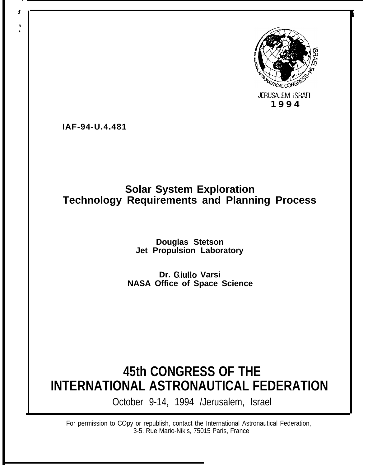

**IAF-94-U.4.481**

### **Solar System Exploration Technology Requirements and Planning Process**

#### **Douglas Stetson Jet Propulsion Laboratory**

**Dr. Giulio Varsi NASA Office of Space Science**

### **45th CONGRESS OF THE INTERNATIONAL ASTRONAUTICAL FEDERATION**

October 9-14, 1994 /Jerusalem, Israel

For permission to COpy or republish, contact the International Astronautical Federation, 3-5. Rue Mario-Nikis, 75015 Paris, France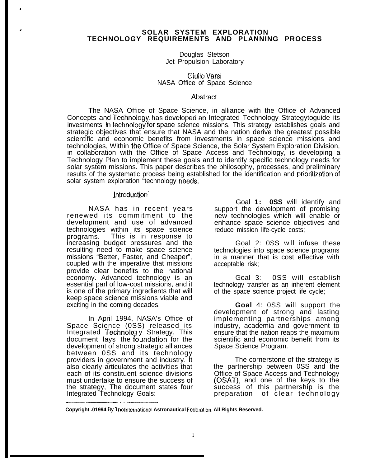#### # **SOLAR SYSTEM EXPLORATION TECHNOLOGY REQUIREMENTS AND PLANNING PROCESS**

Douglas Stetson Jet Propulsion Laboratory

Giulio Varsi NASA Office of Space Science

#### Abstract

The NASA Office of Space Science, in alliance with the Office of Advanced Concepts and Technology, has developed an Integrated Technology Strategytoguide its investments in technology for space science missions. This strategy establishes goals and strategic objectives that ensure that NASA and the nation derive the greatest possible scientific and economic benefits from investments in space science missions and technologies, Within the Office of Space Science, the Solar System Exploration Division, in collaboration with the Office of Space Access and Technology, is developing a Technology Plan to implement these goals and to identify specific technology needs for solar system missions. This paper describes the philosophy, processes, and preliminary results of the systematic process being established for the identification and prioritization of solar system exploration "technology needs.

#### Introduction

NASA has in recent years renewed its commitment to the development and use of advanced technologies within its space science programs. This is in response to increasing budget pressures and the resulting need to make space science missions "Better, Faster, and Cheaper", coupled with the imperative that missions provide clear benefits to the national economy. Advanced technology is an essential parl of low-cost missions, and it is one of the primary ingredients that will keep space science missions viable and exciting in the coming decades.

In April 1994, NASA's Office of Space Science (0SS) released its Integrated Technolcg y Strategy. This document lays the foundation for the development of strong strategic alliances between 0SS and its technology providers in government and industry. It also clearly articulates the activities that each of its constituent science divisions must undertake to ensure the success of the strategy, The document states four Integrated Technology Goals: ..—— ..——.— . . .--—..—

Goal **1: 0SS** will identify and support the development of promising new technologies which will enable or enhance space science objectives and reduce mission life-cycle costs;

Goal 2: 0SS will infuse these technologies into space science programs in a manner that is cost effective with acceptable risk;

Goal 3: 0SS will establish technology transfer as an inherent element of the space science project life cycle;

**Goal** 4: 0SS will support the development of strong and lasting implementing partnerships among industry, academia and government to ensure that the nation reaps the maximum scientific and economic benefit from its Space Science Program.

The cornerstone of the strategy is the partnership between 0SS and the Office of Space Access and Technology (OSAT), and one of the keys to the success of this partnership is the preparation of clear technology

**Copyright .01994 By <sup>T</sup> ho Inlemational Astronautical Feckration. All Rights Reserved.**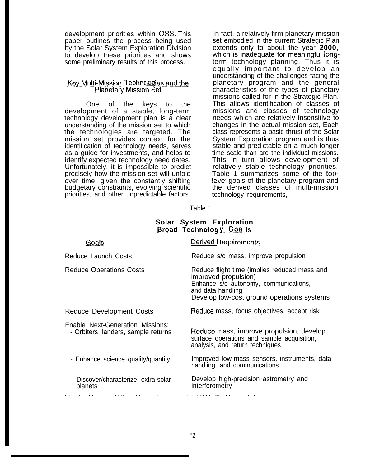development priorities within OSS. This paper outlines the process being used by the Solar System Exploration Division to develop these priorities and shows some preliminary results of this process.

#### Key Multi-Mission Technologies and the Planetary Mission Set

One of the keys to the development of a stable, long-term technology development plan is a clear understanding of the mission set to which the technologies are targeted. The mission set provides context for the identification of technology needs, serves as a guide for investments, and helps to identify expected technology need dates. Unfortunately, it is impossible to predict precisely how the mission set will unfold over time, given the constantly shifting budgetary constraints, evolving scientific priorities, and other unpredictable factors.

In fact, a relatively firm planetary mission set embodied in the current Strategic Plan extends only to about the year **2000,** which is inadequate for meaningful longterm technology planning. Thus it is equally important to develop an understanding of the challenges facing the planetary program and the general characteristics of the types of planetary missions called for in the Strategic Plan. This allows identification of classes of missions and classes of technology needs which are relatively insensitive to changes in the actual mission set, Each class represents a basic thrust of the Solar System Exploration program and is thus stable and predictable on a much longer time scale than are the individual missions. This in turn allows development of relatively stable technology priorities. Table 1 summarizes some of the top-Ievel goals of the planetary program and the derived classes of multi-mission technology requirements,

Table 1

#### **Solar System Exploration Broad Technology Goals**

| <u>Goals</u>                                                            | Derived Requirements                                                                                                                                                             |
|-------------------------------------------------------------------------|----------------------------------------------------------------------------------------------------------------------------------------------------------------------------------|
| Reduce Launch Costs                                                     | Reduce s/c mass, improve propulsion                                                                                                                                              |
| Reduce Operations Costs                                                 | Reduce flight time (implies reduced mass and<br>improved propulsion)<br>Enhance s/c autonomy, communications,<br>and data handling<br>Develop low-cost ground operations systems |
| <b>Reduce Development Costs</b>                                         | Reduce mass, focus objectives, accept risk                                                                                                                                       |
| Enable Next-Generation Missions:<br>- Orbiters, landers, sample returns | Reduce mass, improve propulsion, develop<br>surface operations and sample acquisition,<br>analysis, and return techniques                                                        |
| - Enhance science quality/quantity                                      | Improved low-mass sensors, instruments, data<br>handling, and communications                                                                                                     |
| Discover/characterize extra-solar<br>planets                            | Develop high-precision astrometry and<br>interferometry                                                                                                                          |
|                                                                         | フィー・フィッシュ アイ・アーケーション アール・コール                                                                                                                                                     |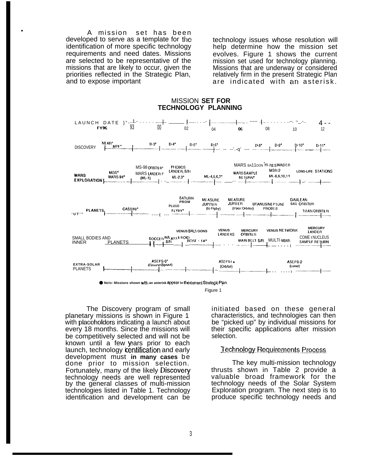A mission set has been developed to serve as a template for the identification of more specific technology requirements and need dates. Missions are selected to be representative of the missions that are likely to occur, given the priorities reflected in the Strategic Plan, and to expose important

technology issues whose resolution will help determine how the mission set evolves. Figure 1 shows the current mission set used for technology planning. Missions that are underway or considered relatively firm in the present Strategic Plan are indicated with an asterisk.

#### **MISSION SET FOR TECHNOLOGY PLANNING**



Figure 1

The Discovery program of small planetary missions is shown in Figure 1 with placeholders indicating a launch about every 18 months. Since the missions will be competitively selected and will not be known until a few years prior to each launch, technology identification and early development must in many cases be done prior to mission selection. Fortunately, many of the likely Discovery technology needs are well represented by the general classes of multi-mission technologies listed in Table 1. Technology identification and development can be

initiated based on these general characteristics, and technologies can then be "picked up" by individual missions for their specific applications after mission selection.

#### **Technology Requirements Process**

The key multi-mission technology thrusts shown in Table 2 provide a valuable broad framework for the technology needs of the Solar System Exploration program. The next step is to produce specific technology needs and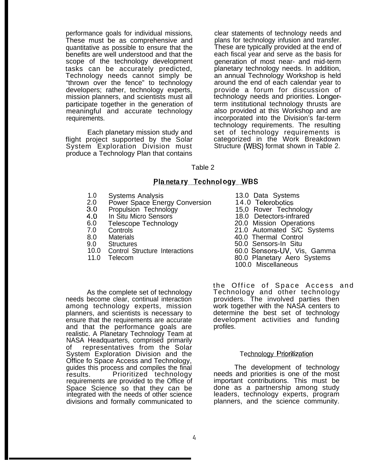performance goals for individual missions, These must be as comprehensive and quantitative as possible to ensure that the benefits are well understood and that the scope of the technology development tasks can be accurately predicted, Technology needs cannot simply be "thrown over the fence" to technology developers; rather, technology experts, mission planners, and scientists must all participate together in the generation of meaningful and accurate technology requirements.

Each planetary mission study and flight project supported by the Solar System Exploration Division must produce a Technology Plan that contains

clear statements of technology needs and plans for technology infusion and transfer. These are typically provided at the end of each fiscal year and serve as the basis for generation of most near- and mid-term planetary technology needs. In addition, an annual Technology Workshop is held around the end of each calendar year to provide a forum for discussion of technology needs and priorities. Longerterm institutional technology thrusts are also provided at this Workshop and are incorporated into the Division's far-term technology requirements. The resulting set of technology requirements is categorized in the Work Breakdown Structure (WBS) format shown in Table 2.

Table 2

#### Planetary Technology WBS

- 1.0
- $\frac{2.0}{3.0}$ Power Space Energy Conversion 14.0 Telerobotics
- Propulsion Technology
- 4.0 In Situ Micro Sensors
- 6.0 Telescope Technology
- 7.0 Controls
- 8.0 **Materials**
- 9.0 **Structures**
- 10.0 Control Structure Interactions

As the complete set of technology

needs become clear, continual interaction among technology experts, mission planners, and scientists is necessary to ensure that the requirements are accurate and that the performance goals are realistic. A Planetary Technology Team at NASA Headquarters, comprised primarily of representatives from the Solar System Exploration Division and the Office fo Space Access and Technology, guides this process and compiles the final results. Prioritized technology requirements are provided to the Office of Space Science so that they can be integrated with the needs of other science divisions and formally communicated to

11.0 Telecom

Systems Analysis 13.0 Data Systems

- 
- 15,0 Rover Technology
- 18.0 Detectors-infrared
- 20.0 Mission Operations
- 21.0 Automated S/C Systems
- 40.0 Thermal Control
- 50.0 Sensors-In Situ
- 60.0 Sensors-UV, Vis, Gamma
- 80.0 Planetary Aero Systems
- 100.0 Miscellaneous

the Office of Space Access and Technology and other technology providers. The involved parties then work together with the NASA centers to determine the best set of technology development activities and funding profiles.

#### Technology Prioritization

The development of technology needs and priorities is one of the most important contributions. This must be done as a partnership among study leaders, technology experts, program planners, and the science community.

 $\frac{1}{4}$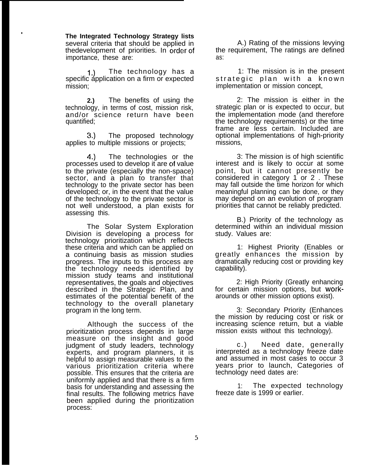**The Integrated Technology Strategy lists** several criteria that should be applied in thedevelopment of priorities. In order of importance, these are:

●

1.) The technology has a specific application on a firm or expected mission;

**2.)** The benefits of using the technology, in terms of cost, mission risk, and/or science return have been quantified;

**3.)** The proposed technology applies to multiple missions or projects;

4.) The technologies or the processes used to develop it are of value to the private (especially the non-space) sector, and a plan to transfer that technology to the private sector has been developed; or, in the event that the value of the technology to the private sector is not well understood, a plan exists for assessing this.

The Solar System Exploration Division is developing a process for technology prioritization which reflects these criteria and which can be applied on a continuing basis as mission studies progress. The inputs to this process are the technology needs identified by mission study teams and institutional representatives, the goals and objectives described in the Strategic Plan, and estimates of the potential benefit of the technology to the overall planetary program in the long term.

Although the success of the prioritization process depends in large measure on the insight and good judgment of study leaders, technology experts, and program planners, it is helpful to assign measurable values to the various prioritization criteria where possible. This ensures that the criteria are uniformly applied and that there is a firm basis for understanding and assessing the final results. The following metrics have been applied during the prioritization process:

A.) Rating of the missions levying the requirement, The ratings are defined as:

1: The mission is in the present strategic plan with a known implementation or mission concept,

2: The mission is either in the strategic plan or is expected to occur, but the implementation mode (and therefore the technology requirements) or the time frame are less certain. Included are optional implementations of high-priority missions,

3: The mission is of high scientific interest and is likely to occur at some point, but it cannot presently be considered in category 1 or 2 . These may fall outside the time horizon for which meaningful planning can be done, or they may depend on an evolution of program priorities that cannot be reliably predicted.

B.) Priority of the technology as determined within an individual mission study. Values are:

1: Highest Priority (Enables or greatly enhances the mission by dramatically reducing cost or providing key capability).

2: High Priority (Greatly enhancing for certain mission options, but workarounds or other mission options exist).

3: Secondary Priority (Enhances the mission by reducing cost or risk or increasing science return, but a viable mission exists without this technology).

c.) Need date, generally interpreted as a technology freeze date and assumed in most cases to occur 3 years prior to launch, Categories of technology need dates are:

1: The expected technology freeze date is 1999 or earlier.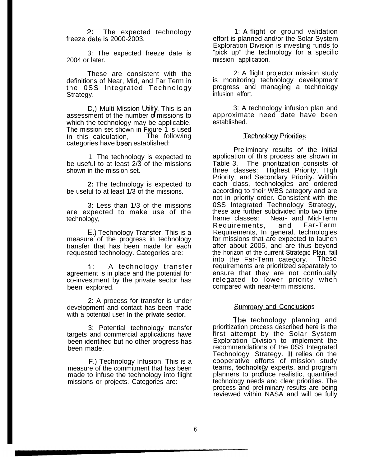$2:$ The expected technology  $freeze$  date is 2000-2003.

3: The expected freeze date is 2004 or later.

These are consistent with the definitions of Near, Mid, and Far Term in the 0SS Integrated Technology Strategy.

D.) Multi-Mission Utility, This is an assessment of the number of missions to which the technology may be applicable, The mission set shown in Figure 1 is used<br>in this calculation. The following in this calculation, categories have been established:

1: The technology is expected to be useful to at least 2/3 of the missions shown in the mission set.

**2:** The technology is expected to be useful to at least 1/3 of the missions.

3: Less than 1/3 of the missions are expected to make use of the technology,

E,) Technology Transfer. This is a measure of the progress in technology transfer that has been made for each requested technology. Categories are:

1: A technology transfer agreement is in place and the potential for co-investment by the private sector has been explored.

2: A process for transfer is under development and contact has been made with a potential user **in the private sector.**

3: Potential technology transfer targets and commercial applications have been identified but no other progress has been made.

F.) Technology Infusion, This is a measure of the commitment that has been made to infuse the technology into flight missions or projects. Categories are:

1: **A** flight or ground validation effort is planned and/or the Solar System Exploration Division is investing funds to "pick up" the technology for a specific mission application.

2: A flight projector mission study is monitoring technology development progress and managing a technology infusion effort.

3: A technology infusion plan and approximate need date have been established.

#### Technology Priorities

Preliminary results of the initial application of this process are shown in Table 3. The prioritization consists of three classes: Highest Priority, High Highest Priority, High Priority, and Secondary Priority. Within each class, technologies are ordered according to their WBS category and are not in priority order. Consistent with the 0SS Integrated Technology Strategy, these are further subdivided into two time frame classes: Near- and Mid-Term Requirements, and Far-Term Requirements, In general, technologies for missions that are expected to launch after about 2005, and are thus beyond the horizon of the current Strategic Plan, fall into the Far-Term category. These requirements are prioritized separately to ensure that they are not continually relegated to lower priority when compared with near-term missions.

#### **Summary and Conclusions**

The technology planning and prioritization process described here is the first attempt by the Solar System Exploration Division to implement the recommendations of the 0SS Integrated Technology Strategy. It relies on the cooperative efforts of mission study cooperative enotic of mission study<br>teams, technology experts, and program<br>planners to produce realistic, quantified technology needs and clear priorities. The process and preliminary results are being reviewed within NASA and will be fully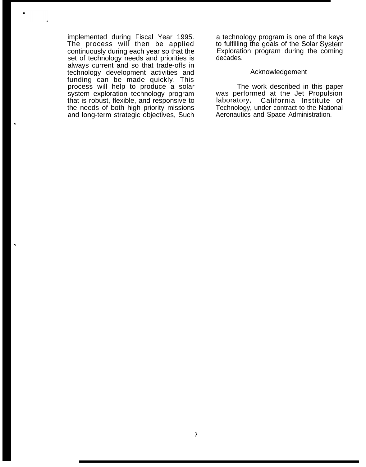implemented during Fiscal Year 1995. The process will then be applied continuously during each year so that the set of technology needs and priorities is always current and so that trade-offs in technology development activities and funding can be made quickly. This process will help to produce a solar system exploration technology program that is robust, flexible, and responsive to the needs of both high priority missions and long-term strategic objectives, Such

.

Q

a technology program is one of the kevs to fulfilling the goals of the Solar System Exploration program during the coming decades.

#### **Acknowledgement**

The work described in this paper was performed at the Jet Propulsion<br>laboratory, California Institute of California Institute of Technology, under contract to the National Aeronautics and Space Administration.